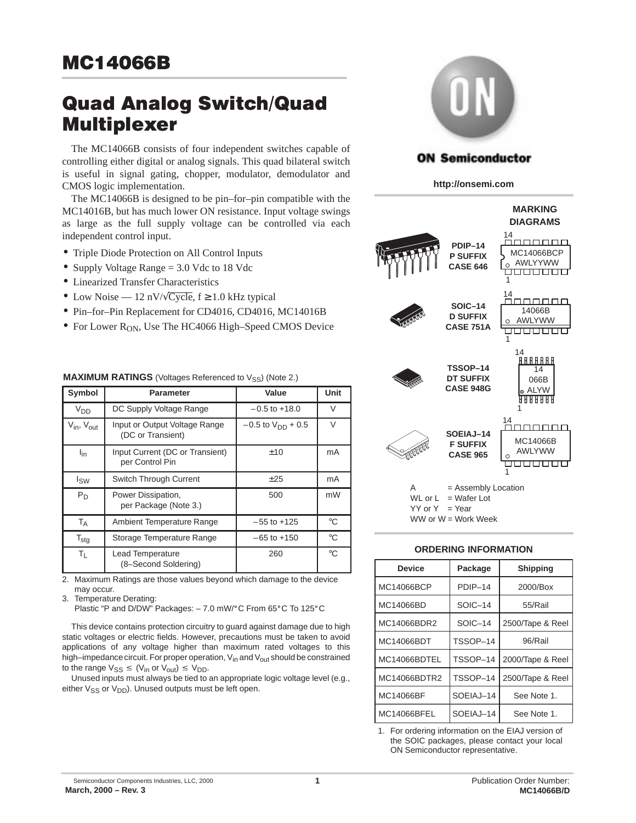# **Quad Analog Switch/Quad Multiplexer**

The MC14066B consists of four independent switches capable of controlling either digital or analog signals. This quad bilateral switch is useful in signal gating, chopper, modulator, demodulator and CMOS logic implementation.

The MC14066B is designed to be pin–for–pin compatible with the MC14016B, but has much lower ON resistance. Input voltage swings as large as the full supply voltage can be controlled via each independent control input.

- Triple Diode Protection on All Control Inputs
- Supply Voltage Range = 3.0 Vdc to 18 Vdc
- Linearized Transfer Characteristics
- Low Noise 12 nV/ $\sqrt{\text{Cycle}}$ ,  $f \ge 1.0$  kHz typical
- Pin–for–Pin Replacement for CD4016, CD4016, MC14016B
- For Lower  $R_{ON}$ , Use The HC4066 High–Speed CMOS Device

|                                    |                                                    | ، ، ب                    |             |
|------------------------------------|----------------------------------------------------|--------------------------|-------------|
| Symbol                             | <b>Parameter</b>                                   | Value                    | Unit        |
| <b>V<sub>DD</sub></b>              | DC Supply Voltage Range                            | $-0.5$ to $+18.0$        | $\vee$      |
| $V_{\text{in}}$ , $V_{\text{out}}$ | Input or Output Voltage Range<br>(DC or Transient) | $-0.5$ to $V_{DD}$ + 0.5 | $\vee$      |
| l <sub>in</sub>                    | Input Current (DC or Transient)<br>per Control Pin | ±10                      | mA          |
| $I_{SW}$                           | <b>Switch Through Current</b>                      | ±25                      | mA          |
| $P_D$                              | Power Dissipation,<br>per Package (Note 3.)        | 500                      | mW          |
| $T_A$                              | Ambient Temperature Range                          | $-55$ to $+125$          | $^{\circ}C$ |
| $T_{\text{stg}}$                   | Storage Temperature Range                          | $-65$ to $+150$          | $^{\circ}C$ |
| $T_L$                              | Lead Temperature<br>(8-Second Soldering)           | 260                      | $^{\circ}C$ |

**MAXIMUM RATINGS** (Voltages Referenced to Vss) (Note 2.)

2. Maximum Ratings are those values beyond which damage to the device may occur.

3. Temperature Derating:

Plastic "P and D/DW" Packages:  $-7.0$  mW/ $\degree$ C From 65 $\degree$ C To 125 $\degree$ C

This device contains protection circuitry to guard against damage due to high static voltages or electric fields. However, precautions must be taken to avoid applications of any voltage higher than maximum rated voltages to this high–impedance circuit. For proper operation,  $V_{in}$  and  $V_{out}$  should be constrained to the range  $V_{SS} \leq (V_{in} \text{ or } V_{out}) \leq V_{DD}$ .

Unused inputs must always be tied to an appropriate logic voltage level (e.g., either  $V_{SS}$  or  $V_{DD}$ ). Unused outputs must be left open.



### **ON Semiconductor**

**http://onsemi.com**



 $YY$  or  $Y = Year$ 

WW or  $W =$  Work Week

#### **ORDERING INFORMATION**

| <b>Device</b> | Package   | <b>Shipping</b>  |  |  |
|---------------|-----------|------------------|--|--|
| MC14066BCP    | PDIP-14   | 2000/Box         |  |  |
| MC14066BD     | SOIC-14   | 55/Rail          |  |  |
| MC14066BDR2   | SOIC-14   | 2500/Tape & Reel |  |  |
| MC14066BDT    | TSSOP-14  | 96/Rail          |  |  |
| MC14066BDTEL  | TSSOP-14  | 2000/Tape & Reel |  |  |
| MC14066BDTR2  | TSSOP-14  | 2500/Tape & Reel |  |  |
| MC14066BF     | SOEIAJ-14 | See Note 1.      |  |  |
| MC14066BFEL   | SOEIAJ-14 | See Note 1.      |  |  |

1. For ordering information on the EIAJ version of the SOIC packages, please contact your local ON Semiconductor representative.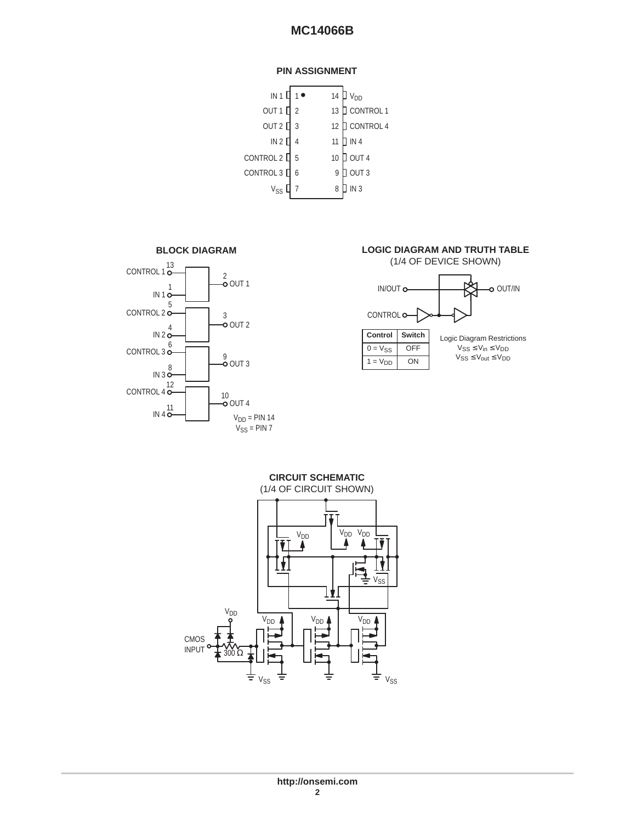#### **PIN ASSIGNMENT**

|                | 14                                       | <b>V<sub>DD</sub></b> |
|----------------|------------------------------------------|-----------------------|
| $\overline{2}$ | 13                                       | CONTROL 1             |
| 3              | 12                                       | CONTROL 4             |
|                | 11                                       | IN <sub>4</sub>       |
| 5              | 10                                       | $J$ out 4             |
| 6              | 9                                        | OUT <sub>3</sub>      |
|                | 8                                        | IN <sub>3</sub>       |
|                | IN 1 $\square$<br>CONTROL 2<br>CONTROL 3 |                       |





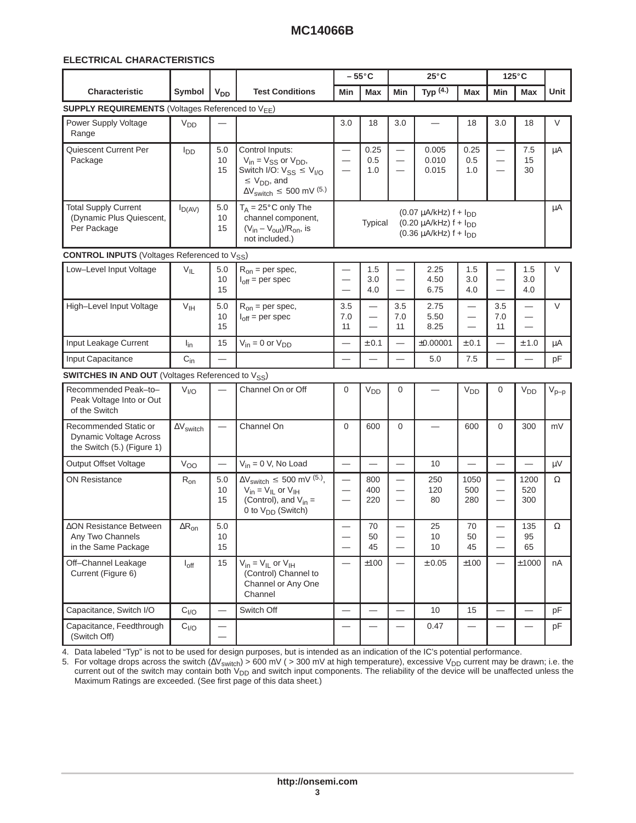#### 

|                                                                               |                         |                                                      |                                                                                                                                                                 |                                                                                  | $-55^{\circ}$ C                                                                  |                                                                                         | $25^{\circ}$ C                                                                                      |                                                                                  |                                                                                  | $125^{\circ}$ C                                                         |           |
|-------------------------------------------------------------------------------|-------------------------|------------------------------------------------------|-----------------------------------------------------------------------------------------------------------------------------------------------------------------|----------------------------------------------------------------------------------|----------------------------------------------------------------------------------|-----------------------------------------------------------------------------------------|-----------------------------------------------------------------------------------------------------|----------------------------------------------------------------------------------|----------------------------------------------------------------------------------|-------------------------------------------------------------------------|-----------|
| Characteristic                                                                | Symbol                  | <b>V<sub>DD</sub></b>                                | <b>Test Conditions</b>                                                                                                                                          | Min                                                                              | Max                                                                              | Min                                                                                     | Typ $(4.)$                                                                                          | Max                                                                              | Min                                                                              | <b>Max</b>                                                              | Unit      |
| <b>SUPPLY REQUIREMENTS (Voltages Referenced to VEE)</b>                       |                         |                                                      |                                                                                                                                                                 |                                                                                  |                                                                                  |                                                                                         |                                                                                                     |                                                                                  |                                                                                  |                                                                         |           |
| Power Supply Voltage<br>Range                                                 | V <sub>DD</sub>         |                                                      |                                                                                                                                                                 | 3.0                                                                              | 18                                                                               | 3.0                                                                                     | $\overline{\phantom{0}}$                                                                            | 18                                                                               | 3.0                                                                              | 18                                                                      | V         |
| Quiescent Current Per<br>Package                                              | $I_{DD}$                | 5.0<br>10<br>15                                      | Control Inputs:<br>$V_{in} = V_{SS}$ or $V_{DD}$ ,<br>Switch I/O: $V_{SS} \leq V_{I/O}$<br>$\leq$ V <sub>DD</sub> , and<br>$\Delta V_{switch} \leq 500$ mV (5.) | $\overline{\phantom{m}}$<br>$\overline{\phantom{m}}$<br>$\overline{\phantom{m}}$ | 0.25<br>0.5<br>1.0                                                               | $\overline{\phantom{m}}$<br>$\overline{\phantom{m}}$<br>$\overline{\phantom{m}}$        | 0.005<br>0.010<br>0.015                                                                             | 0.25<br>0.5<br>1.0                                                               | $\overline{\phantom{m}}$<br>$\overline{\phantom{m}}$<br>$\overline{\phantom{m}}$ | 7.5<br>15<br>30                                                         | $\mu A$   |
| <b>Total Supply Current</b><br>(Dynamic Plus Quiescent,<br>Per Package        | $I_{D(AV)}$             | 5.0<br>10<br>15                                      | $T_A = 25^\circ \text{C}$ only The<br>channel component,<br>$(V_{in} - V_{out})/R_{on}$ , is<br>not included.)                                                  |                                                                                  | Typical                                                                          |                                                                                         | $(0.07 \mu A/kHz) f + I_{DD}$<br>$(0.20 \mu A/kHz)$ f + $I_{DD}$<br>$(0.36 \mu A/kHz)$ f + $I_{DD}$ |                                                                                  |                                                                                  |                                                                         | μA        |
| <b>CONTROL INPUTS</b> (Voltages Referenced to V <sub>SS</sub> )               |                         |                                                      |                                                                                                                                                                 |                                                                                  |                                                                                  |                                                                                         |                                                                                                     |                                                                                  |                                                                                  |                                                                         |           |
| Low-Level Input Voltage                                                       | $V_{IL}$                | 5.0<br>10<br>15                                      | $R_{on}$ = per spec,<br>$I_{off}$ = per spec                                                                                                                    | $\qquad \qquad -$<br>$\hspace{0.1mm}-\hspace{0.1mm}$                             | 1.5<br>3.0<br>4.0                                                                | $\overline{\phantom{m}}$<br>$\overline{\phantom{m}}$<br>$\overline{\phantom{m}}$        | 2.25<br>4.50<br>6.75                                                                                | $1.5\,$<br>3.0<br>4.0                                                            | $\overline{\phantom{m}}$<br>$\overline{\phantom{m}}$<br>$\overline{\phantom{m}}$ | 1.5<br>3.0<br>4.0                                                       | V         |
| High-Level Input Voltage                                                      | V <sub>IH</sub>         | 5.0<br>10<br>15                                      | $R_{on}$ = per spec,<br>$I_{off}$ = per spec                                                                                                                    | 3.5<br>7.0<br>11                                                                 | $\overline{\phantom{m}}$<br>$\overline{\phantom{m}}$<br>$\overline{\phantom{m}}$ | 3.5<br>7.0<br>11                                                                        | 2.75<br>5.50<br>8.25                                                                                | $\overline{\phantom{m}}$<br>$\overline{\phantom{m}}$<br>$\overline{\phantom{m}}$ | 3.5<br>7.0<br>11                                                                 | $\equiv$<br>$\hspace{0.1mm}-\hspace{0.1mm}$<br>$\overline{\phantom{0}}$ | $\vee$    |
| Input Leakage Current                                                         | $I_{in}$                | 15                                                   | $V_{in} = 0$ or $V_{DD}$                                                                                                                                        | $\overline{\phantom{m}}$                                                         | ± 0.1                                                                            |                                                                                         | ±0.00001                                                                                            | ± 0.1                                                                            |                                                                                  | ± 1.0                                                                   | $\mu$ A   |
| Input Capacitance                                                             | $C_{in}$                | $\overline{\phantom{m}}$                             |                                                                                                                                                                 | $\overline{\phantom{0}}$                                                         |                                                                                  | $\overline{\phantom{0}}$                                                                | 5.0                                                                                                 | 7.5                                                                              |                                                                                  |                                                                         | pF        |
| <b>SWITCHES IN AND OUT</b> (Voltages Referenced to V <sub>SS</sub> )          |                         |                                                      |                                                                                                                                                                 |                                                                                  |                                                                                  |                                                                                         |                                                                                                     |                                                                                  |                                                                                  |                                                                         |           |
| Recommended Peak-to-<br>Peak Voltage Into or Out<br>of the Switch             | V <sub>I/O</sub>        |                                                      | Channel On or Off                                                                                                                                               | 0                                                                                | V <sub>DD</sub>                                                                  | $\mathbf 0$                                                                             |                                                                                                     | <b>V<sub>DD</sub></b>                                                            | $\mathbf 0$                                                                      | V <sub>DD</sub>                                                         | $V_{p-p}$ |
| Recommended Static or<br>Dynamic Voltage Across<br>the Switch (5.) (Figure 1) | $\Delta \rm V_{switch}$ | $\overline{\phantom{m}}$                             | Channel On                                                                                                                                                      | $\mathbf 0$                                                                      | 600                                                                              | $\mathbf 0$                                                                             | $\overline{\phantom{0}}$                                                                            | 600                                                                              | $\mathbf 0$                                                                      | 300                                                                     | mV        |
| Output Offset Voltage                                                         | Voo                     | $\overline{\phantom{m}}$                             | $V_{in} = 0$ V, No Load                                                                                                                                         | $\overline{\phantom{m}}$                                                         | $\overline{\phantom{m}}$                                                         | $\overline{\phantom{m}}$                                                                | 10                                                                                                  | $\overline{\phantom{m}}$                                                         | $\overline{\phantom{m}}$                                                         |                                                                         | $\mu V$   |
| <b>ON Resistance</b>                                                          | $R_{on}$                | $5.0\,$<br>10<br>15                                  | $\Delta V_{switch} \leq 500$ mV $^{(5)}$ ,<br>$V_{in} = V_{IL}$ or $V_{IH}$<br>(Control), and $V_{in}$ =<br>0 to V <sub>DD</sub> (Switch)                       | $\overline{\phantom{m}}$<br>$\overline{\phantom{m}}$<br>$\overline{\phantom{m}}$ | 800<br>400<br>220                                                                | $\overline{\phantom{m}}$<br>$\overline{\phantom{0}}$                                    | 250<br>120<br>80                                                                                    | 1050<br>500<br>280                                                               | $\overline{\phantom{m}}$<br>$\overline{\phantom{m}}$<br>$\overline{\phantom{m}}$ | 1200<br>520<br>300                                                      | $\Omega$  |
| ∆ON Resistance Between<br>Any Two Channels<br>in the Same Package             | $\Delta R_{\text{on}}$  | 5.0<br>10<br>15                                      |                                                                                                                                                                 |                                                                                  | 70<br>50<br>45                                                                   | $\overline{\phantom{m}}$<br>$\hspace{0.1mm}-\hspace{0.1mm}$<br>$\overline{\phantom{0}}$ | 25<br>10<br>10                                                                                      | 70<br>50<br>45                                                                   | $\hspace{0.1mm}-\hspace{0.1mm}$<br>$\overline{\phantom{m}}$                      | 135<br>95<br>65                                                         | Ω         |
| Off-Channel Leakage<br>Current (Figure 6)                                     | $I_{\text{off}}$        | 15                                                   | $V_{in} = V_{IL}$ or $V_{IH}$<br>(Control) Channel to<br>Channel or Any One<br>Channel                                                                          | $\overline{\phantom{m}}$                                                         | ±100                                                                             | $\overline{\phantom{m}}$                                                                | ± 0.05                                                                                              | ±100                                                                             | $\overline{\phantom{m}}$                                                         | ±1000                                                                   | nA        |
| Capacitance, Switch I/O                                                       | $C_{VQ}$                | $\overline{\phantom{m}}$                             | Switch Off                                                                                                                                                      |                                                                                  |                                                                                  | $\overline{\phantom{m}}$                                                                | 10                                                                                                  | 15                                                                               | $\overline{\phantom{m}}$                                                         | $\qquad \qquad =$                                                       | pF        |
| Capacitance, Feedthrough<br>(Switch Off)                                      | $C_{I/O}$               | $\overline{\phantom{m}}$<br>$\overline{\phantom{m}}$ |                                                                                                                                                                 | $\overline{\phantom{m}}$                                                         |                                                                                  |                                                                                         | 0.47                                                                                                | $\overline{\phantom{m}}$                                                         | $\overline{\phantom{m}}$                                                         |                                                                         | pF        |

  4. Data labeled "Typ" is not to be used for design purposes, but is intended as an indication of the IC's potential performance.

5. For voltage drops across the switch ( $\Delta V_{switch}$ ) > 600 mV ( > 300 mV at high temperature), excessive V<sub>DD</sub> current may be drawn; i.e. the current out of the switch may contain both V<sub>DD</sub> and switch input components. The reliability of the device will be unaffected unless the<br>Maximum Ratings are exceeded. (See first page of this data sheet.)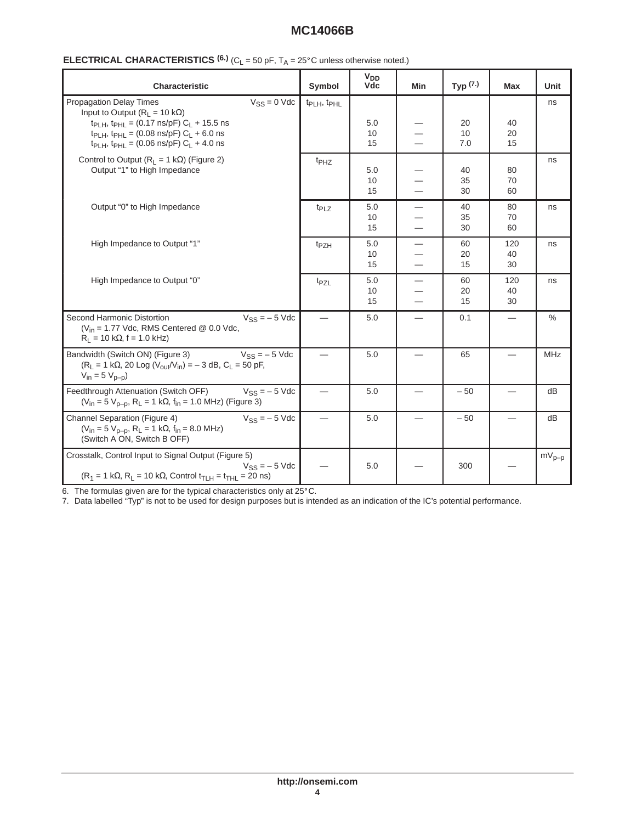| Characteristic                                                                                                                                                                                                                                                                                        | Symbol                              | V <sub>DD</sub><br><b>Vdc</b> | Min                                                              | Typ $(7.)$      | <b>Max</b>               | Unit       |
|-------------------------------------------------------------------------------------------------------------------------------------------------------------------------------------------------------------------------------------------------------------------------------------------------------|-------------------------------------|-------------------------------|------------------------------------------------------------------|-----------------|--------------------------|------------|
| Propagation Delay Times<br>$V_{SS} = 0$ Vdc<br>Input to Output ( $R_L = 10 k\Omega$ )<br>t <sub>PLH</sub> , t <sub>PHL</sub> = (0.17 ns/pF) $C_L$ + 15.5 ns<br>t <sub>PLH</sub> , t <sub>PHL</sub> = (0.08 ns/pF) $C_L$ + 6.0 ns<br>t <sub>PLH</sub> , t <sub>PHL</sub> = (0.06 ns/pF) $C_L$ + 4.0 ns | t <sub>PLH</sub> , t <sub>PHL</sub> | 5.0<br>10<br>15               | $\overline{\phantom{0}}$                                         | 20<br>10<br>7.0 | 40<br>20<br>15           | ns         |
| Control to Output ( $R_L = 1$ k $\Omega$ ) (Figure 2)<br>Output "1" to High Impedance                                                                                                                                                                                                                 | $t_{PHZ}$                           | 5.0<br>10<br>15               | —<br>$\overline{\phantom{0}}$<br>$\overline{\phantom{0}}$        | 40<br>35<br>30  | 80<br>70<br>60           | ns         |
| Output "0" to High Impedance                                                                                                                                                                                                                                                                          | $t_{PLZ}$                           | 5.0<br>10<br>15               | $\overline{\phantom{0}}$<br>$\overline{\phantom{0}}$             | 40<br>35<br>30  | 80<br>70<br>60           | ns         |
| High Impedance to Output "1"                                                                                                                                                                                                                                                                          | t <sub>PZH</sub>                    | $5.0$<br>10<br>15             | $\equiv$<br>$\overline{\phantom{0}}$                             | 60<br>20<br>15  | 120<br>40<br>30          | ns         |
| High Impedance to Output "0"                                                                                                                                                                                                                                                                          | t <sub>PZL</sub>                    | 5.0<br>10<br>15               | $\equiv$<br>$\overline{\phantom{0}}$<br>$\overline{\phantom{0}}$ | 60<br>20<br>15  | 120<br>40<br>30          | ns         |
| Second Harmonic Distortion<br>$V_{SS} = -5$ Vdc<br>( $V_{in}$ = 1.77 Vdc, RMS Centered @ 0.0 Vdc,<br>$R_L = 10 k\Omega$ , f = 1.0 kHz)                                                                                                                                                                |                                     | 5.0                           | $\equiv$                                                         | 0.1             | $\overline{\phantom{0}}$ | %          |
| Bandwidth (Switch ON) (Figure 3)<br>$V_{SS} = -5$ Vdc<br>$(R_L = 1 k\Omega, 20 Log (V_{out}/V_{in}) = -3 dB, C_L = 50 pF,$<br>$V_{in} = 5 V_{p-p}$                                                                                                                                                    | $\overline{\phantom{0}}$            | 5.0                           | $\overline{\phantom{0}}$                                         | 65              |                          | <b>MHz</b> |
| Feedthrough Attenuation (Switch OFF)<br>$V_{SS} = -5$ Vdc<br>$(V_{in} = 5 V_{D-D}, R_L = 1 k\Omega, f_{in} = 1.0 MHz)$ (Figure 3)                                                                                                                                                                     | $\equiv$                            | 5.0                           | $\overline{\phantom{0}}$                                         | $-50$           |                          | dB         |
| Channel Separation (Figure 4)<br>$V_{SS} = -5$ Vdc<br>$(V_{in} = 5 V_{p-p}, R_L = 1 k\Omega, f_{in} = 8.0 MHz)$<br>(Switch A ON, Switch B OFF)                                                                                                                                                        |                                     | 5.0                           |                                                                  | $-50$           |                          | dB         |
| Crosstalk, Control Input to Signal Output (Figure 5)<br>$V_{SS} = -5$ Vdc<br>$(R_1 = 1 k\Omega, R_L = 10 k\Omega,$ Control $t_{TLH} = t_{THL} = 20$ ns)                                                                                                                                               |                                     | 5.0                           |                                                                  | 300             |                          | $mV_{p-p}$ |

7. Data labelled "Typ" is not to be used for design purposes but is intended as an indication of the IC's potential performance.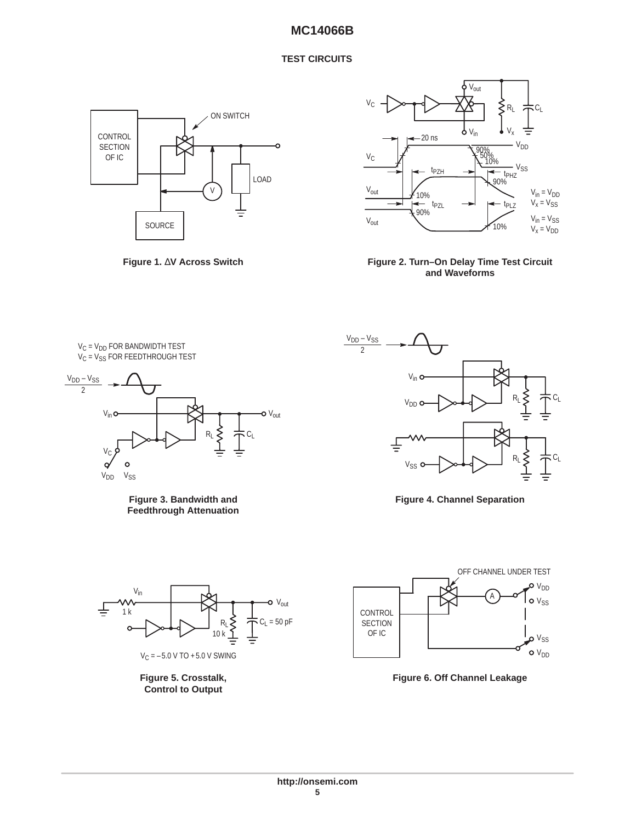#### **TEST CIRCUITS**









 $\bm{\mathsf{V}}_\mathsf{C}$  =  $\bm{\mathsf{V}}_\mathsf{DD}$  for bandwidth test  $V_C$  =  $V_{SS}$  for feedthrough test



**Figure 3. Bandwidth and Feedthrough Attenuation**



**Control to Output**



**Figure 4. Channel Separation**



**Figure 6. Off Channel Leakage**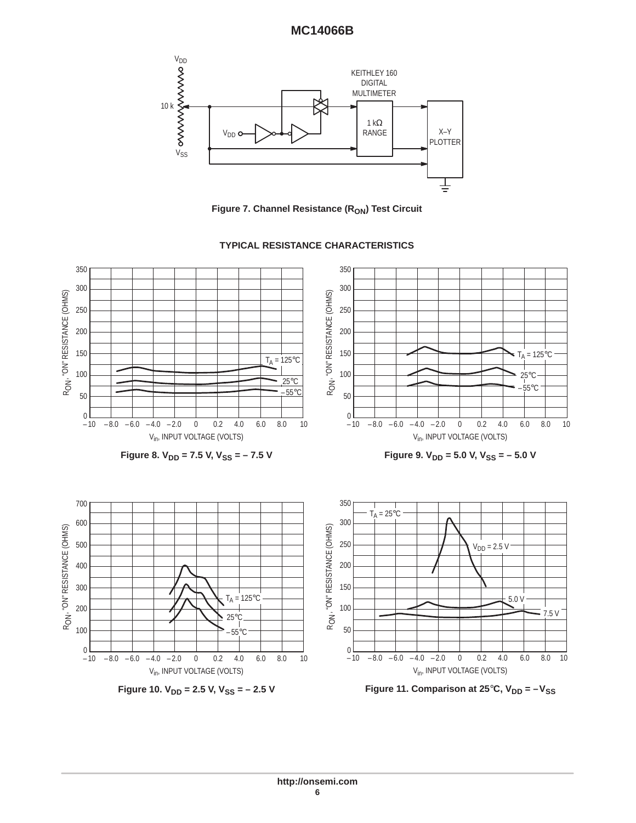

**Figure 7. Channel Resistance (RON) Test Circuit** 



#### **TYPICAL RESISTANCE CHARACTERISTICS**

**Figure 11. Comparison at 25°C, V<sub>DD</sub> = -V<sub>SS</sub>**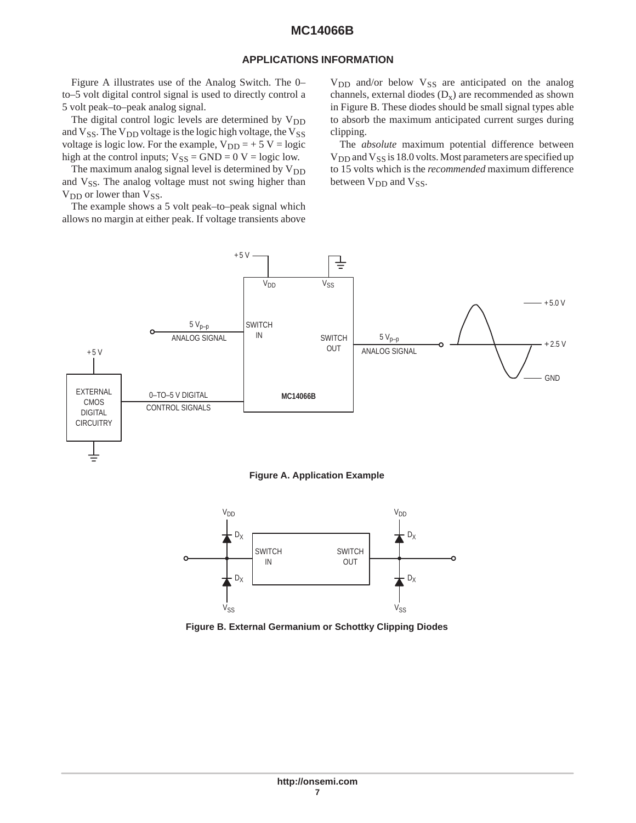#### **APPLICATIONS INFORMATION**

Figure A illustrates use of the Analog Switch. The 0– to–5 volt digital control signal is used to directly control a 5 volt peak–to–peak analog signal.

The digital control logic levels are determined by  $V_{DD}$ and  $V_{SS}$ . The  $V_{DD}$  voltage is the logic high voltage, the  $V_{SS}$ voltage is logic low. For the example,  $V_{DD} = +5 V = logic$ high at the control inputs;  $V_{SS} = GND = 0$  V = logic low.

The maximum analog signal level is determined by  $V_{DD}$ and V<sub>SS</sub>. The analog voltage must not swing higher than  $V_{DD}$  or lower than  $V_{SS}$ .

The example shows a 5 volt peak–to–peak signal which allows no margin at either peak. If voltage transients above  $V<sub>DD</sub>$  and/or below  $V<sub>SS</sub>$  are anticipated on the analog channels, external diodes  $(D_x)$  are recommended as shown in Figure B. These diodes should be small signal types able to absorb the maximum anticipated current surges during clipping.

The *absolute* maximum potential difference between  $V_{DD}$  and  $V_{SS}$  is 18.0 volts. Most parameters are specified up to 15 volts which is the *recommended* maximum difference between V<sub>DD</sub> and V<sub>SS</sub>.



**Figure A. Application Example**



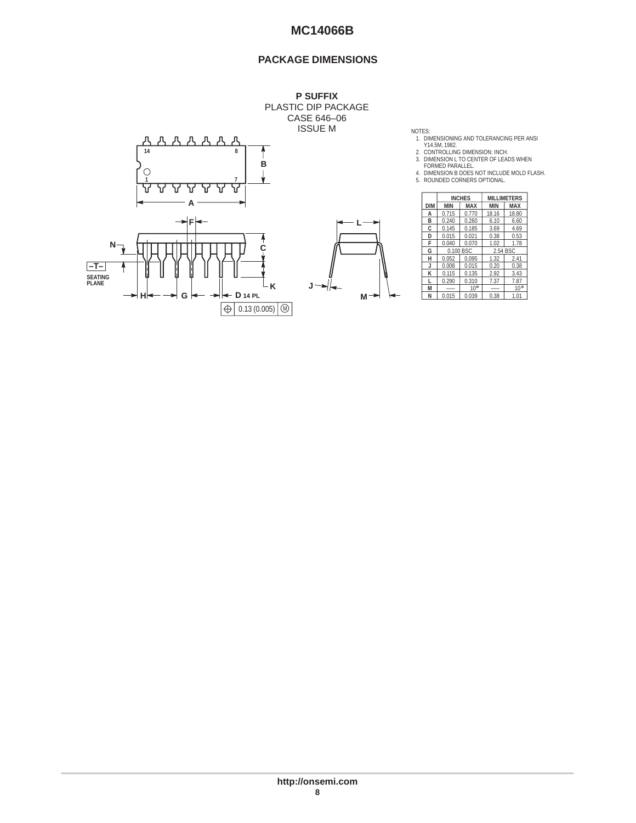### **PACKAGE DIMENSIONS**



NOTES:<br>
1. DIMENSIONING AND TOLERANCING PER ANSI<br>
Y14.5M, 1982.<br>
2. CONTROLLING DIMENSION: INCH.<br>
3. DIMENSION L TO CENTER OF LEADS WHEN<br>
FORMED PARALLEL.<br>
4. DIMENSION B DOES NOT INCLUDE MOLD FLASH.<br>
5. ROUNDED CORNERS OP

|     |            |            | <b>INCHES</b> | <b>MILLIMETERS</b> |              |  |
|-----|------------|------------|---------------|--------------------|--------------|--|
|     | <b>DIM</b> | <b>MIN</b> | <b>MAX</b>    | <b>MIN</b>         | <b>MAX</b>   |  |
|     | А          | 0.715      | 0.770         | 18.16              | 18.80        |  |
|     | B          | 0.240      | 0.260         | 6.10               | 6.60         |  |
|     | C          | 0.145      | 0.185         | 3.69               | 4.69         |  |
|     | D          | 0.015      | 0.021         | 0.38               | 0.53         |  |
|     | F          | 0.040      | 0.070         | 1.02               | 1.78         |  |
|     | G          | 0.100 BSC  |               | 2.54 BSC           |              |  |
|     | н          | 0.052      | 0.095         | 1.32               | 2.41         |  |
|     |            | 0.008      | 0.015         | 0.20               | 0.38         |  |
|     | к          | 0.115      | 0.135         | 2.92               | 3.43         |  |
|     |            | 0.290      | 0.310         | 7.37               | 7.87         |  |
| J   | м          | ---        | $10^{\circ}$  | ---                | $10^{\circ}$ |  |
| IVІ | N          | 0.015      | 0.039         | 0.38               | 1.01         |  |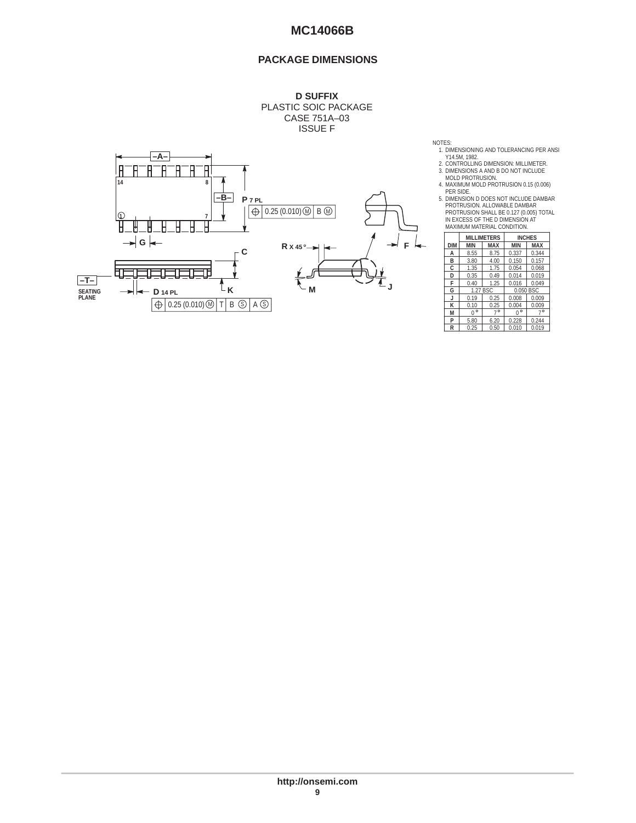### **PACKAGE DIMENSIONS**



NOTES:<br>
1. DIMENSIONING AND TOLERANCING PER ANSI<br>
Y14.5M, 1982.<br>
2. CONTROLLING DIMENSION: MILLIMETER.<br>
3. DIMENSIONS A AND B DO NOT INCLUDE<br>
MOLD PROTRUSION 0.15 (0.006)<br>
4. MAXIMUM MOLD PROTRUSION 0.15 (0.006)

PER SIDE.<br>5. DIMENSION D DOES NOT INCLUDE DAMBAR<br>PROTRUSION. ALLOWABLE DAMBAR<br>PROTRUSION SHALL BE 0.127 (0.005) TOTAL<br>IN EXCESS OF THE D DIMENSION AT<br>MAXIMUM MATERIAL CONDITION.

|            |              | <b>MILLIMETERS</b> |              | <b>INCHES</b> |  |
|------------|--------------|--------------------|--------------|---------------|--|
| <b>DIM</b> | <b>MIN</b>   | <b>MAX</b>         | <b>MIN</b>   | <b>MAX</b>    |  |
| А          | 8.55         | 8.75               | 0.337        | 0.344         |  |
| B          | 3.80         | 4.00               | 0.150        | 0.157         |  |
| Ċ          | 1.35         | 1.75               | 0.054        | 0.068         |  |
| D          | 0.35         | 0.49               | 0.014        | 0.019         |  |
| F          | 0.40         | 1.25               | 0.016        | 0.049         |  |
| G          | 1.27 BSC     |                    | 0.050 BSC    |               |  |
| J          | 0.19         | 0.25               | 0.008        | 0.009         |  |
| к          | 0.10         | 0.25               | 0.004        | 0.009         |  |
| м          | $\circ$<br>በ | $7^\circ$          | $\circ$<br>n | $7^{\circ}$   |  |
| P          | 5.80         | 6.20               | 0.228        | 0.244         |  |
| R          | 0.25         | 0.50               | 0.010        | 0.019         |  |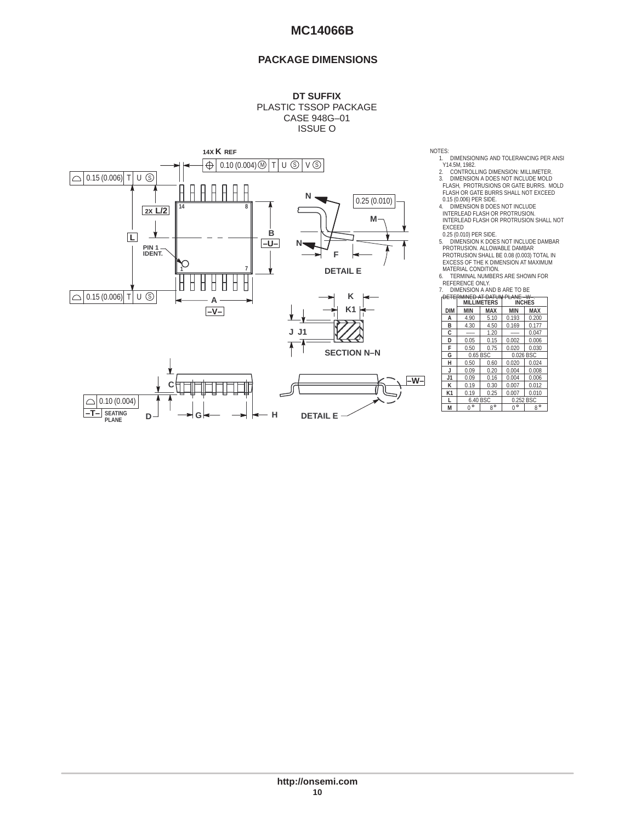### **PACKAGE DIMENSIONS**

#### **DT SUFFIX** PLASTIC TSSOP PACKAGE CASE 948G–01 ISSUE O



NOTES:

1. DIMENSIONING AND TOLERANCING PER ANSI<br>21. CONTROLLING DIMENSION: MILLIMETER.<br>3. DIMENSION A DOES NOT INCLUDE MOLD<br>FLASH, PROTRUSIONS OR GATE BURRS.<br>FLASH, PROTRUSIONS OR GATE BURRS.<br>FLASH OR GATE BURRS SHALL NOT EXCEED

0.15 (0.006) PER SIDE. 4. DIMENSION B DOES NOT INCLUDE INTERLEAD FLASH OR PROTRUSION.<br>INTERLEAD FLASH OR PROTRUSION.<br>INTERLEAD FLASH OR PROTRUSION SHALL NOT

INTERLEAD FLASH OR PROTRUSION SHALL NOT<br>EXCEED<br>0.25 (0.010) PER SIDE.<br>5. DIMENSION K DOES NOT INCLUDE DAMBAR<br>PROTRUSION ALLOWABLE DAMBAR<br>PROTRUSION SHALL BE 0.08 (0.003) TOTAL IN<br>EXCESS OF THE K DIMENSION AT MAXIMUM<br>MATERI

6. TERMINAL NUMBERS ARE SHOWN FOR REFERENCE ONLY.

7. DIMENSION A AND B ARE TO BE

| κ                |            | DETERMINED AT DATUM PLANE -W-<br><b>MILLIMETERS</b><br><b>INCHES</b> |             |             |             |  |  |
|------------------|------------|----------------------------------------------------------------------|-------------|-------------|-------------|--|--|
| K <sub>1</sub>   |            |                                                                      |             |             |             |  |  |
|                  | <b>DIM</b> | <b>MIN</b>                                                           | <b>MAX</b>  | <b>MIN</b>  | <b>MAX</b>  |  |  |
|                  | А          | 4.90                                                                 | 5.10        | 0.193       | 0.200       |  |  |
|                  | B          | 4.30                                                                 | 4.50        | 0.169       | 0.177       |  |  |
|                  | C          | ---                                                                  | 1.20        | ---         | 0.047       |  |  |
|                  | D          | 0.05                                                                 | 0.15        | 0.002       | 0.006       |  |  |
|                  | F          | 0.50                                                                 | 0.75        | 0.020       | 0.030       |  |  |
| <b>CTION N-N</b> | G          | 0.65 BSC                                                             |             | 0.026 BSC   |             |  |  |
|                  | н          | 0.50                                                                 | 0.60        | 0.020       | 0.024       |  |  |
|                  |            | 0.09                                                                 | 0.20        | 0.004       | 0.008       |  |  |
| -W-              | J1         | 0.09                                                                 | 0.16        | 0.004       | 0.006       |  |  |
|                  | к          | 0.19                                                                 | 0.30        | 0.007       | 0.012       |  |  |
|                  | K1         | 0.19                                                                 | 0.25        | 0.007       | 0.010       |  |  |
|                  |            | 6.40 BSC                                                             |             | 0.252 BSC   |             |  |  |
|                  | M          | $0^{\circ}$                                                          | $8^{\circ}$ | $0^{\circ}$ | $8^{\circ}$ |  |  |
|                  |            |                                                                      |             |             |             |  |  |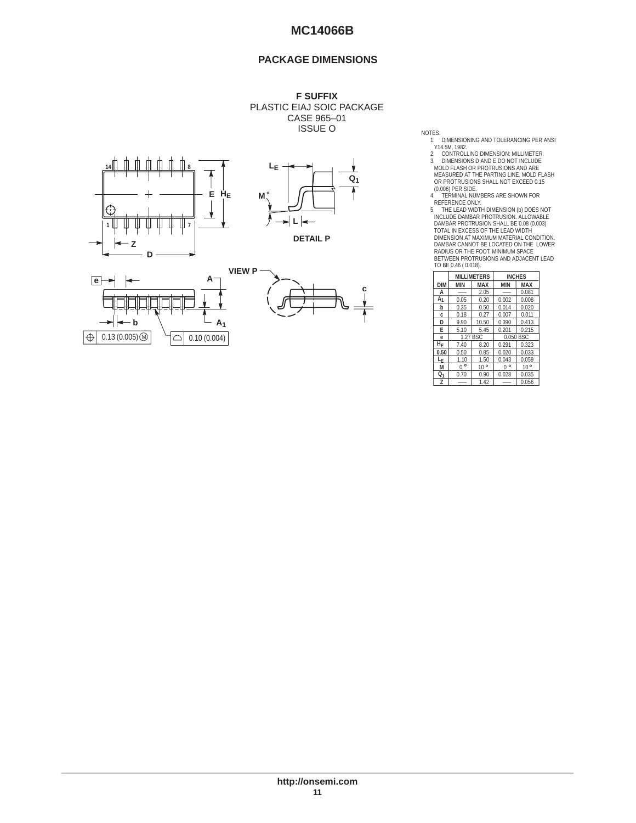### **PACKAGE DIMENSIONS**









NOTES:<br>1. DIMENSIONING AND TOLERANCING PER ANSI

1. DIMENSIONING AND TOLERANCING PER ANSINATION (1982)<br>2. CONTROLLING DIMENSION: MILLIMETER.<br>2. CONTROLLING DIMENSION: MILLIMETER.<br>3. DIMENSIONS D AND E DO NOT INCLUDE<br>MEASURED AT THE PARTING LINE. MOLD FLASH<br>OR PROTRUSIONS TO BE 0.46 ( 0.018).

|                 |              | <b>MILLIMETERS</b> |              | <b>INCHES</b> |  |
|-----------------|--------------|--------------------|--------------|---------------|--|
| <b>DIM</b>      | <b>MIN</b>   | MAX                |              | <b>MAX</b>    |  |
| А               | 2.05         |                    |              | 0.081         |  |
| A <sub>1</sub>  | 0.05         | 0.20               | 0.002        | 0.008         |  |
| b               | 0.35         | 0.50               | 0.014        | 0.020         |  |
| c.              | 0.18         | 0.27               | 0.007        | 0.011         |  |
| D               | 9.90         | 10.50              | 0.390        | 0.413         |  |
| E               | 5.10         | 5.45               | 0.201        | 0.215         |  |
| e               | 1.27 BSC     |                    |              | 0.050 BSC     |  |
| ĨΗ <sub>Ε</sub> | 7.40         | 8.20               | 0.291        | 0.323         |  |
| 0.50            | 0.50         | 0.85               | 0.020        | 0.033         |  |
| L <sub>Ε</sub>  | 1.10         | 1.50               | 0.043        | 0.059         |  |
| M               | $\circ$<br>U | $10^{\circ}$       | $\circ$<br>በ | $10^{\circ}$  |  |
| Q1              | 0.70         | 0.90               | 0.028        | 0.035         |  |
| z               |              | 1.42               |              | 0.056         |  |